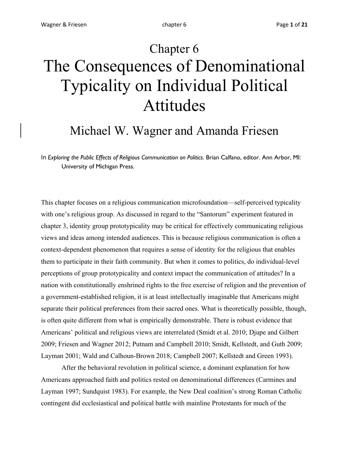# Chapter 6 The Consequences of Denominational Typicality on Individual Political Attitudes

### Michael W. Wagner and Amanda Friesen

In *Exploring the Public Effects of Religious Communication on Politics*. Brian Calfano, editor. Ann Arbor, MI: University of Michigan Press.

This chapter focuses on a religious communication microfoundation—self-perceived typicality with one's religious group. As discussed in regard to the "Santorum" experiment featured in chapter 3, identity group prototypicality may be critical for effectively communicating religious views and ideas among intended audiences. This is because religious communication is often a context-dependent phenomenon that requires a sense of identity for the religious that enables them to participate in their faith community. But when it comes to politics, do individual-level perceptions of group prototypicality and context impact the communication of attitudes? In a nation with constitutionally enshrined rights to the free exercise of religion and the prevention of a government-established religion, it is at least intellectually imaginable that Americans might separate their political preferences from their sacred ones. What is theoretically possible, though, is often quite different from what is empirically demonstrable. There is robust evidence that Americans' political and religious views are interrelated (Smidt et al. 2010; Djupe and Gilbert 2009; Friesen and Wagner 2012; Putnam and Campbell 2010; Smidt, Kellstedt, and Guth 2009; Layman 2001; Wald and Calhoun-Brown 2018; Campbell 2007; Kellstedt and Green 1993).

After the behavioral revolution in political science, a dominant explanation for how Americans approached faith and politics rested on denominational differences (Carmines and Layman 1997; Sundquist 1983). For example, the New Deal coalition's strong Roman Catholic contingent did ecclesiastical and political battle with mainline Protestants for much of the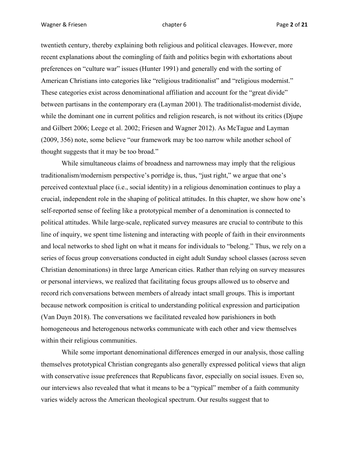twentieth century, thereby explaining both religious and political cleavages. However, more recent explanations about the comingling of faith and politics begin with exhortations about preferences on "culture war" issues (Hunter 1991) and generally end with the sorting of American Christians into categories like "religious traditionalist" and "religious modernist." These categories exist across denominational affiliation and account for the "great divide" between partisans in the contemporary era (Layman 2001). The traditionalist-modernist divide, while the dominant one in current politics and religion research, is not without its critics (Djupe and Gilbert 2006; Leege et al. 2002; Friesen and Wagner 2012). As McTague and Layman (2009, 356) note, some believe "our framework may be too narrow while another school of thought suggests that it may be too broad."

While simultaneous claims of broadness and narrowness may imply that the religious traditionalism/modernism perspective's porridge is, thus, "just right," we argue that one's perceived contextual place (i.e., social identity) in a religious denomination continues to play a crucial, independent role in the shaping of political attitudes. In this chapter, we show how one's self-reported sense of feeling like a prototypical member of a denomination is connected to political attitudes. While large-scale, replicated survey measures are crucial to contribute to this line of inquiry, we spent time listening and interacting with people of faith in their environments and local networks to shed light on what it means for individuals to "belong." Thus, we rely on a series of focus group conversations conducted in eight adult Sunday school classes (across seven Christian denominations) in three large American cities. Rather than relying on survey measures or personal interviews, we realized that facilitating focus groups allowed us to observe and record rich conversations between members of already intact small groups. This is important because network composition is critical to understanding political expression and participation (Van Duyn 2018). The conversations we facilitated revealed how parishioners in both homogeneous and heterogenous networks communicate with each other and view themselves within their religious communities.

While some important denominational differences emerged in our analysis, those calling themselves prototypical Christian congregants also generally expressed political views that align with conservative issue preferences that Republicans favor, especially on social issues. Even so, our interviews also revealed that what it means to be a "typical" member of a faith community varies widely across the American theological spectrum. Our results suggest that to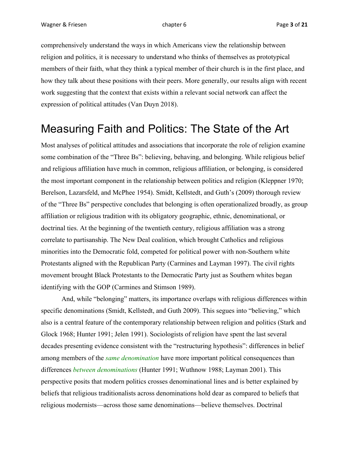comprehensively understand the ways in which Americans view the relationship between religion and politics, it is necessary to understand who thinks of themselves as prototypical members of their faith, what they think a typical member of their church is in the first place, and how they talk about these positions with their peers. More generally, our results align with recent work suggesting that the context that exists within a relevant social network can affect the expression of political attitudes (Van Duyn 2018).

#### Measuring Faith and Politics: The State of the Art

Most analyses of political attitudes and associations that incorporate the role of religion examine some combination of the "Three Bs": believing, behaving, and belonging. While religious belief and religious affiliation have much in common, religious affiliation, or belonging, is considered the most important component in the relationship between politics and religion (Kleppner 1970; Berelson, Lazarsfeld, and McPhee 1954). Smidt, Kellstedt, and Guth's (2009) thorough review of the "Three Bs" perspective concludes that belonging is often operationalized broadly, as group affiliation or religious tradition with its obligatory geographic, ethnic, denominational, or doctrinal ties. At the beginning of the twentieth century, religious affiliation was a strong correlate to partisanship. The New Deal coalition, which brought Catholics and religious minorities into the Democratic fold, competed for political power with non-Southern white Protestants aligned with the Republican Party (Carmines and Layman 1997). The civil rights movement brought Black Protestants to the Democratic Party just as Southern whites began identifying with the GOP (Carmines and Stimson 1989).

And, while "belonging" matters, its importance overlaps with religious differences within specific denominations (Smidt, Kellstedt, and Guth 2009). This segues into "believing," which also is a central feature of the contemporary relationship between religion and politics (Stark and Glock 1968; Hunter 1991; Jelen 1991). Sociologists of religion have spent the last several decades presenting evidence consistent with the "restructuring hypothesis": differences in belief among members of the *same denomination* have more important political consequences than differences *between denominations* (Hunter 1991; Wuthnow 1988; Layman 2001). This perspective posits that modern politics crosses denominational lines and is better explained by beliefs that religious traditionalists across denominations hold dear as compared to beliefs that religious modernists—across those same denominations—believe themselves. Doctrinal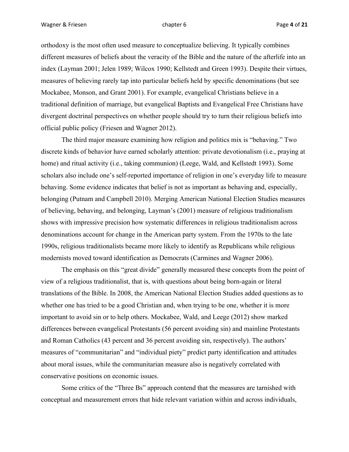orthodoxy is the most often used measure to conceptualize believing. It typically combines different measures of beliefs about the veracity of the Bible and the nature of the afterlife into an index (Layman 2001; Jelen 1989; Wilcox 1990; Kellstedt and Green 1993). Despite their virtues, measures of believing rarely tap into particular beliefs held by specific denominations (but see Mockabee, Monson, and Grant 2001). For example, evangelical Christians believe in a traditional definition of marriage, but evangelical Baptists and Evangelical Free Christians have divergent doctrinal perspectives on whether people should try to turn their religious beliefs into official public policy (Friesen and Wagner 2012).

The third major measure examining how religion and politics mix is "behaving." Two discrete kinds of behavior have earned scholarly attention: private devotionalism (i.e., praying at home) and ritual activity (i.e., taking communion) (Leege, Wald, and Kellstedt 1993). Some scholars also include one's self-reported importance of religion in one's everyday life to measure behaving. Some evidence indicates that belief is not as important as behaving and, especially, belonging (Putnam and Campbell 2010). Merging American National Election Studies measures of believing, behaving, and belonging, Layman's (2001) measure of religious traditionalism shows with impressive precision how systematic differences in religious traditionalism across denominations account for change in the American party system. From the 1970s to the late 1990s, religious traditionalists became more likely to identify as Republicans while religious modernists moved toward identification as Democrats (Carmines and Wagner 2006).

The emphasis on this "great divide" generally measured these concepts from the point of view of a religious traditionalist, that is, with questions about being born-again or literal translations of the Bible. In 2008, the American National Election Studies added questions as to whether one has tried to be a good Christian and, when trying to be one, whether it is more important to avoid sin or to help others. Mockabee, Wald, and Leege (2012) show marked differences between evangelical Protestants (56 percent avoiding sin) and mainline Protestants and Roman Catholics (43 percent and 36 percent avoiding sin, respectively). The authors' measures of "communitarian" and "individual piety" predict party identification and attitudes about moral issues, while the communitarian measure also is negatively correlated with conservative positions on economic issues.

Some critics of the "Three Bs" approach contend that the measures are tarnished with conceptual and measurement errors that hide relevant variation within and across individuals,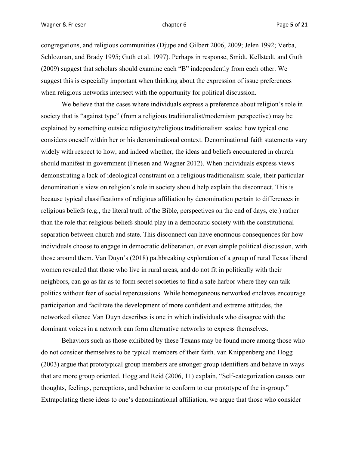congregations, and religious communities (Djupe and Gilbert 2006, 2009; Jelen 1992; Verba, Schlozman, and Brady 1995; Guth et al. 1997). Perhaps in response, Smidt, Kellstedt, and Guth (2009) suggest that scholars should examine each "B" independently from each other. We suggest this is especially important when thinking about the expression of issue preferences when religious networks intersect with the opportunity for political discussion.

We believe that the cases where individuals express a preference about religion's role in society that is "against type" (from a religious traditionalist/modernism perspective) may be explained by something outside religiosity/religious traditionalism scales: how typical one considers oneself within her or his denominational context. Denominational faith statements vary widely with respect to how, and indeed whether, the ideas and beliefs encountered in church should manifest in government (Friesen and Wagner 2012). When individuals express views demonstrating a lack of ideological constraint on a religious traditionalism scale, their particular denomination's view on religion's role in society should help explain the disconnect. This is because typical classifications of religious affiliation by denomination pertain to differences in religious beliefs (e.g., the literal truth of the Bible, perspectives on the end of days, etc.) rather than the role that religious beliefs should play in a democratic society with the constitutional separation between church and state. This disconnect can have enormous consequences for how individuals choose to engage in democratic deliberation, or even simple political discussion, with those around them. Van Duyn's (2018) pathbreaking exploration of a group of rural Texas liberal women revealed that those who live in rural areas, and do not fit in politically with their neighbors, can go as far as to form secret societies to find a safe harbor where they can talk politics without fear of social repercussions. While homogeneous networked enclaves encourage participation and facilitate the development of more confident and extreme attitudes, the networked silence Van Duyn describes is one in which individuals who disagree with the dominant voices in a network can form alternative networks to express themselves.

Behaviors such as those exhibited by these Texans may be found more among those who do not consider themselves to be typical members of their faith. van Knippenberg and Hogg (2003) argue that prototypical group members are stronger group identifiers and behave in ways that are more group oriented. Hogg and Reid (2006, 11) explain, "Self-categorization causes our thoughts, feelings, perceptions, and behavior to conform to our prototype of the in-group." Extrapolating these ideas to one's denominational affiliation, we argue that those who consider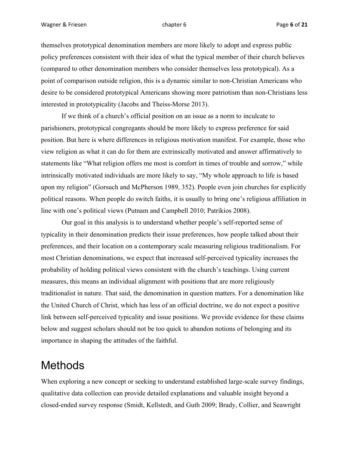themselves prototypical denomination members are more likely to adopt and express public policy preferences consistent with their idea of what the typical member of their church believes (compared to other denomination members who consider themselves less prototypical). As a point of comparison outside religion, this is a dynamic similar to non-Christian Americans who desire to be considered prototypical Americans showing more patriotism than non-Christians less interested in prototypicality (Jacobs and Theiss-Morse 2013).

If we think of a church's official position on an issue as a norm to inculcate to parishioners, prototypical congregants should be more likely to express preference for said position. But here is where differences in religious motivation manifest. For example, those who view religion as what it can do for them are extrinsically motivated and answer affirmatively to statements like "What religion offers me most is comfort in times of trouble and sorrow," while intrinsically motivated individuals are more likely to say, "My whole approach to life is based upon my religion" (Gorsuch and McPherson 1989, 352). People even join churches for explicitly political reasons. When people do switch faiths, it is usually to bring one's religious affiliation in line with one's political views (Putnam and Campbell 2010; Patrikios 2008).

Our goal in this analysis is to understand whether people's self-reported sense of typicality in their denomination predicts their issue preferences, how people talked about their preferences, and their location on a contemporary scale measuring religious traditionalism. For most Christian denominations, we expect that increased self-perceived typicality increases the probability of holding political views consistent with the church's teachings. Using current measures, this means an individual alignment with positions that are more religiously traditionalist in nature. That said, the denomination in question matters. For a denomination like the United Church of Christ, which has less of an official doctrine, we do not expect a positive link between self-perceived typicality and issue positions. We provide evidence for these claims below and suggest scholars should not be too quick to abandon notions of belonging and its importance in shaping the attitudes of the faithful.

#### Methods

When exploring a new concept or seeking to understand established large-scale survey findings, qualitative data collection can provide detailed explanations and valuable insight beyond a closed-ended survey response (Smidt, Kellstedt, and Guth 2009; Brady, Collier, and Seawright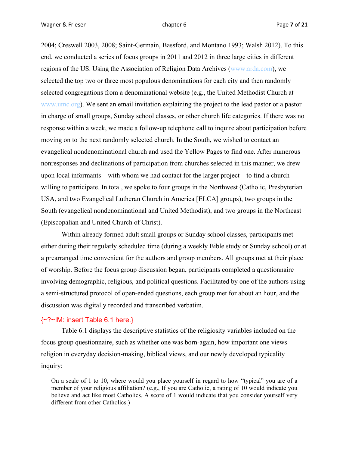2004; Creswell 2003, 2008; Saint-Germain, Bassford, and Montano 1993; Walsh 2012). To this end, we conducted a series of focus groups in 2011 and 2012 in three large cities in different regions of the US. Using the Association of Religion Data Archives (www.arda.com), we selected the top two or three most populous denominations for each city and then randomly selected congregations from a denominational website (e.g., the United Methodist Church at www.umc.org). We sent an email invitation explaining the project to the lead pastor or a pastor in charge of small groups, Sunday school classes, or other church life categories. If there was no response within a week, we made a follow-up telephone call to inquire about participation before moving on to the next randomly selected church. In the South, we wished to contact an evangelical nondenominational church and used the Yellow Pages to find one. After numerous nonresponses and declinations of participation from churches selected in this manner, we drew upon local informants—with whom we had contact for the larger project—to find a church willing to participate. In total, we spoke to four groups in the Northwest (Catholic, Presbyterian USA, and two Evangelical Lutheran Church in America [ELCA] groups), two groups in the South (evangelical nondenominational and United Methodist), and two groups in the Northeast (Episcopalian and United Church of Christ).

Within already formed adult small groups or Sunday school classes, participants met either during their regularly scheduled time (during a weekly Bible study or Sunday school) or at a prearranged time convenient for the authors and group members. All groups met at their place of worship. Before the focus group discussion began, participants completed a questionnaire involving demographic, religious, and political questions. Facilitated by one of the authors using a semi-structured protocol of open-ended questions, each group met for about an hour, and the discussion was digitally recorded and transcribed verbatim.

#### {~?~IM: insert Table 6.1 here.}

Table 6.1 displays the descriptive statistics of the religiosity variables included on the focus group questionnaire, such as whether one was born-again, how important one views religion in everyday decision-making, biblical views, and our newly developed typicality inquiry:

On a scale of 1 to 10, where would you place yourself in regard to how "typical" you are of a member of your religious affiliation? (e.g., If you are Catholic, a rating of 10 would indicate you believe and act like most Catholics. A score of 1 would indicate that you consider yourself very different from other Catholics.)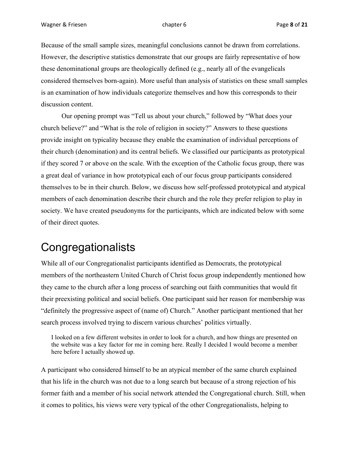Because of the small sample sizes, meaningful conclusions cannot be drawn from correlations. However, the descriptive statistics demonstrate that our groups are fairly representative of how these denominational groups are theologically defined (e.g., nearly all of the evangelicals considered themselves born-again). More useful than analysis of statistics on these small samples is an examination of how individuals categorize themselves and how this corresponds to their discussion content.

Our opening prompt was "Tell us about your church," followed by "What does your church believe?" and "What is the role of religion in society?" Answers to these questions provide insight on typicality because they enable the examination of individual perceptions of their church (denomination) and its central beliefs. We classified our participants as prototypical if they scored 7 or above on the scale. With the exception of the Catholic focus group, there was a great deal of variance in how prototypical each of our focus group participants considered themselves to be in their church. Below, we discuss how self-professed prototypical and atypical members of each denomination describe their church and the role they prefer religion to play in society. We have created pseudonyms for the participants, which are indicated below with some of their direct quotes.

### **Congregationalists**

While all of our Congregationalist participants identified as Democrats, the prototypical members of the northeastern United Church of Christ focus group independently mentioned how they came to the church after a long process of searching out faith communities that would fit their preexisting political and social beliefs. One participant said her reason for membership was "definitely the progressive aspect of (name of) Church." Another participant mentioned that her search process involved trying to discern various churches' politics virtually.

I looked on a few different websites in order to look for a church, and how things are presented on the website was a key factor for me in coming here. Really I decided I would become a member here before I actually showed up.

A participant who considered himself to be an atypical member of the same church explained that his life in the church was not due to a long search but because of a strong rejection of his former faith and a member of his social network attended the Congregational church. Still, when it comes to politics, his views were very typical of the other Congregationalists, helping to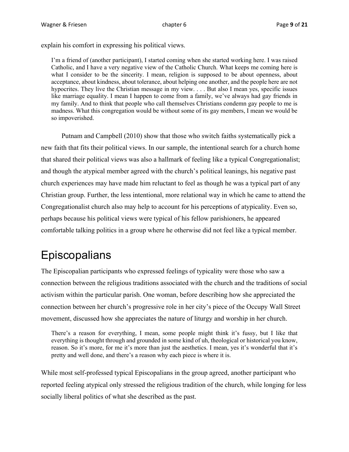explain his comfort in expressing his political views.

I'm a friend of (another participant), I started coming when she started working here. I was raised Catholic, and I have a very negative view of the Catholic Church. What keeps me coming here is what I consider to be the sincerity. I mean, religion is supposed to be about openness, about acceptance, about kindness, about tolerance, about helping one another, and the people here are not hypocrites. They live the Christian message in my view. . . . But also I mean yes, specific issues like marriage equality. I mean I happen to come from a family, we've always had gay friends in my family. And to think that people who call themselves Christians condemn gay people to me is madness. What this congregation would be without some of its gay members, I mean we would be so impoverished.

Putnam and Campbell (2010) show that those who switch faiths systematically pick a new faith that fits their political views. In our sample, the intentional search for a church home that shared their political views was also a hallmark of feeling like a typical Congregationalist; and though the atypical member agreed with the church's political leanings, his negative past church experiences may have made him reluctant to feel as though he was a typical part of any Christian group. Further, the less intentional, more relational way in which he came to attend the Congregationalist church also may help to account for his perceptions of atypicality. Even so, perhaps because his political views were typical of his fellow parishioners, he appeared comfortable talking politics in a group where he otherwise did not feel like a typical member.

## **Episcopalians**

The Episcopalian participants who expressed feelings of typicality were those who saw a connection between the religious traditions associated with the church and the traditions of social activism within the particular parish. One woman, before describing how she appreciated the connection between her church's progressive role in her city's piece of the Occupy Wall Street movement, discussed how she appreciates the nature of liturgy and worship in her church.

There's a reason for everything, I mean, some people might think it's fussy, but I like that everything is thought through and grounded in some kind of uh, theological or historical you know, reason. So it's more, for me it's more than just the aesthetics. I mean, yes it's wonderful that it's pretty and well done, and there's a reason why each piece is where it is.

While most self-professed typical Episcopalians in the group agreed, another participant who reported feeling atypical only stressed the religious tradition of the church, while longing for less socially liberal politics of what she described as the past.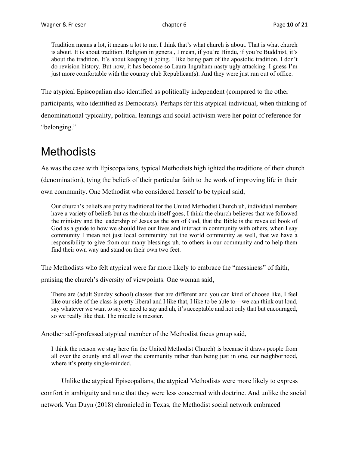Tradition means a lot, it means a lot to me. I think that's what church is about. That is what church is about. It is about tradition. Religion in general, I mean, if you're Hindu, if you're Buddhist, it's about the tradition. It's about keeping it going. I like being part of the apostolic tradition. I don't do revision history. But now, it has become so Laura Ingraham nasty ugly attacking. I guess I'm just more comfortable with the country club Republican(s). And they were just run out of office.

The atypical Episcopalian also identified as politically independent (compared to the other participants, who identified as Democrats). Perhaps for this atypical individual, when thinking of denominational typicality, political leanings and social activism were her point of reference for "belonging."

### **Methodists**

As was the case with Episcopalians, typical Methodists highlighted the traditions of their church (denomination), tying the beliefs of their particular faith to the work of improving life in their own community. One Methodist who considered herself to be typical said,

Our church's beliefs are pretty traditional for the United Methodist Church uh, individual members have a variety of beliefs but as the church itself goes, I think the church believes that we followed the ministry and the leadership of Jesus as the son of God, that the Bible is the revealed book of God as a guide to how we should live our lives and interact in community with others, when I say community I mean not just local community but the world community as well, that we have a responsibility to give from our many blessings uh, to others in our community and to help them find their own way and stand on their own two feet.

The Methodists who felt atypical were far more likely to embrace the "messiness" of faith,

praising the church's diversity of viewpoints. One woman said,

There are (adult Sunday school) classes that are different and you can kind of choose like, I feel like our side of the class is pretty liberal and I like that, I like to be able to—we can think out loud, say whatever we want to say or need to say and uh, it's acceptable and not only that but encouraged, so we really like that. The middle is messier.

Another self-professed atypical member of the Methodist focus group said,

I think the reason we stay here (in the United Methodist Church) is because it draws people from all over the county and all over the community rather than being just in one, our neighborhood, where it's pretty single-minded.

Unlike the atypical Episcopalians, the atypical Methodists were more likely to express comfort in ambiguity and note that they were less concerned with doctrine. And unlike the social network Van Duyn (2018) chronicled in Texas, the Methodist social network embraced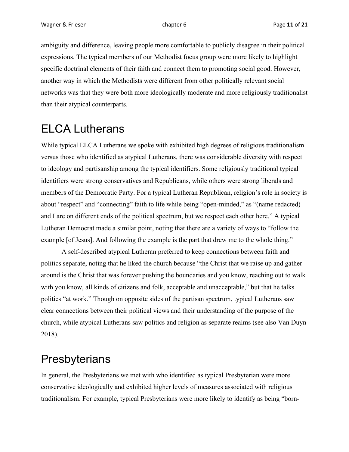ambiguity and difference, leaving people more comfortable to publicly disagree in their political expressions. The typical members of our Methodist focus group were more likely to highlight specific doctrinal elements of their faith and connect them to promoting social good. However, another way in which the Methodists were different from other politically relevant social networks was that they were both more ideologically moderate and more religiously traditionalist than their atypical counterparts.

### ELCA Lutherans

While typical ELCA Lutherans we spoke with exhibited high degrees of religious traditionalism versus those who identified as atypical Lutherans, there was considerable diversity with respect to ideology and partisanship among the typical identifiers. Some religiously traditional typical identifiers were strong conservatives and Republicans, while others were strong liberals and members of the Democratic Party. For a typical Lutheran Republican, religion's role in society is about "respect" and "connecting" faith to life while being "open-minded," as "(name redacted) and I are on different ends of the political spectrum, but we respect each other here." A typical Lutheran Democrat made a similar point, noting that there are a variety of ways to "follow the example [of Jesus]. And following the example is the part that drew me to the whole thing."

A self-described atypical Lutheran preferred to keep connections between faith and politics separate, noting that he liked the church because "the Christ that we raise up and gather around is the Christ that was forever pushing the boundaries and you know, reaching out to walk with you know, all kinds of citizens and folk, acceptable and unacceptable," but that he talks politics "at work." Though on opposite sides of the partisan spectrum, typical Lutherans saw clear connections between their political views and their understanding of the purpose of the church, while atypical Lutherans saw politics and religion as separate realms (see also Van Duyn 2018).

### **Presbyterians**

In general, the Presbyterians we met with who identified as typical Presbyterian were more conservative ideologically and exhibited higher levels of measures associated with religious traditionalism. For example, typical Presbyterians were more likely to identify as being "born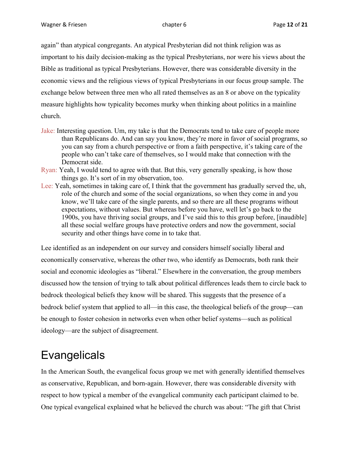again" than atypical congregants. An atypical Presbyterian did not think religion was as important to his daily decision-making as the typical Presbyterians, nor were his views about the Bible as traditional as typical Presbyterians. However, there was considerable diversity in the economic views and the religious views of typical Presbyterians in our focus group sample. The exchange below between three men who all rated themselves as an 8 or above on the typicality measure highlights how typicality becomes murky when thinking about politics in a mainline church.

- Jake: Interesting question. Um, my take is that the Democrats tend to take care of people more than Republicans do. And can say you know, they're more in favor of social programs, so you can say from a church perspective or from a faith perspective, it's taking care of the people who can't take care of themselves, so I would make that connection with the Democrat side.
- Ryan: Yeah, I would tend to agree with that. But this, very generally speaking, is how those things go. It's sort of in my observation, too.
- Lee: Yeah, sometimes in taking care of, I think that the government has gradually served the, uh, role of the church and some of the social organizations, so when they come in and you know, we'll take care of the single parents, and so there are all these programs without expectations, without values. But whereas before you have, well let's go back to the 1900s, you have thriving social groups, and I've said this to this group before, [inaudible] all these social welfare groups have protective orders and now the government, social security and other things have come in to take that.

Lee identified as an independent on our survey and considers himself socially liberal and economically conservative, whereas the other two, who identify as Democrats, both rank their social and economic ideologies as "liberal." Elsewhere in the conversation, the group members discussed how the tension of trying to talk about political differences leads them to circle back to bedrock theological beliefs they know will be shared. This suggests that the presence of a bedrock belief system that applied to all—in this case, the theological beliefs of the group—can be enough to foster cohesion in networks even when other belief systems—such as political ideology—are the subject of disagreement.

## Evangelicals

In the American South, the evangelical focus group we met with generally identified themselves as conservative, Republican, and born-again. However, there was considerable diversity with respect to how typical a member of the evangelical community each participant claimed to be. One typical evangelical explained what he believed the church was about: "The gift that Christ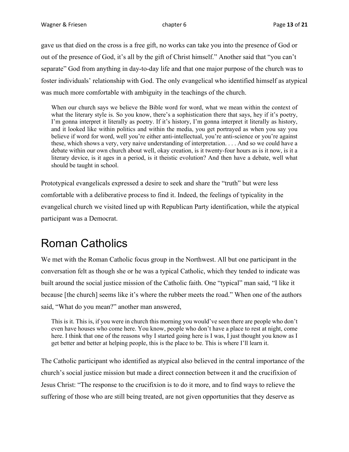gave us that died on the cross is a free gift, no works can take you into the presence of God or out of the presence of God, it's all by the gift of Christ himself." Another said that "you can't separate" God from anything in day-to-day life and that one major purpose of the church was to foster individuals' relationship with God. The only evangelical who identified himself as atypical was much more comfortable with ambiguity in the teachings of the church.

When our church says we believe the Bible word for word, what we mean within the context of what the literary style is. So you know, there's a sophistication there that says, hey if it's poetry, I'm gonna interpret it literally as poetry. If it's history, I'm gonna interpret it literally as history, and it looked like within politics and within the media, you get portrayed as when you say you believe if word for word, well you're either anti-intellectual, you're anti-science or you're against these, which shows a very, very naive understanding of interpretation. . . . And so we could have a debate within our own church about well, okay creation, is it twenty-four hours as is it now, is it a literary device, is it ages in a period, is it theistic evolution? And then have a debate, well what should be taught in school.

Prototypical evangelicals expressed a desire to seek and share the "truth" but were less comfortable with a deliberative process to find it. Indeed, the feelings of typicality in the evangelical church we visited lined up with Republican Party identification, while the atypical participant was a Democrat.

### Roman Catholics

We met with the Roman Catholic focus group in the Northwest. All but one participant in the conversation felt as though she or he was a typical Catholic, which they tended to indicate was built around the social justice mission of the Catholic faith. One "typical" man said, "I like it because [the church] seems like it's where the rubber meets the road." When one of the authors said, "What do you mean?" another man answered,

This is it. This is, if you were in church this morning you would've seen there are people who don't even have houses who come here. You know, people who don't have a place to rest at night, come here. I think that one of the reasons why I started going here is I was, I just thought you know as I get better and better at helping people, this is the place to be. This is where I'll learn it.

The Catholic participant who identified as atypical also believed in the central importance of the church's social justice mission but made a direct connection between it and the crucifixion of Jesus Christ: "The response to the crucifixion is to do it more, and to find ways to relieve the suffering of those who are still being treated, are not given opportunities that they deserve as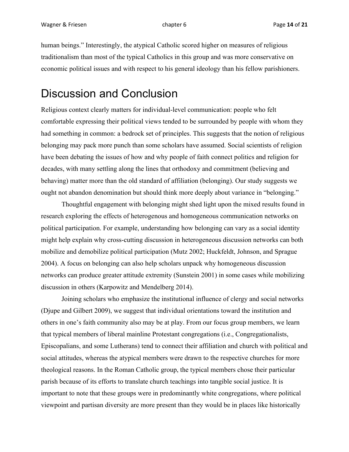human beings." Interestingly, the atypical Catholic scored higher on measures of religious traditionalism than most of the typical Catholics in this group and was more conservative on economic political issues and with respect to his general ideology than his fellow parishioners.

#### Discussion and Conclusion

Religious context clearly matters for individual-level communication: people who felt comfortable expressing their political views tended to be surrounded by people with whom they had something in common: a bedrock set of principles. This suggests that the notion of religious belonging may pack more punch than some scholars have assumed. Social scientists of religion have been debating the issues of how and why people of faith connect politics and religion for decades, with many settling along the lines that orthodoxy and commitment (believing and behaving) matter more than the old standard of affiliation (belonging). Our study suggests we ought not abandon denomination but should think more deeply about variance in "belonging."

Thoughtful engagement with belonging might shed light upon the mixed results found in research exploring the effects of heterogenous and homogeneous communication networks on political participation. For example, understanding how belonging can vary as a social identity might help explain why cross-cutting discussion in heterogeneous discussion networks can both mobilize and demobilize political participation (Mutz 2002; Huckfeldt, Johnson, and Sprague 2004). A focus on belonging can also help scholars unpack why homogeneous discussion networks can produce greater attitude extremity (Sunstein 2001) in some cases while mobilizing discussion in others (Karpowitz and Mendelberg 2014).

Joining scholars who emphasize the institutional influence of clergy and social networks (Djupe and Gilbert 2009), we suggest that individual orientations toward the institution and others in one's faith community also may be at play. From our focus group members, we learn that typical members of liberal mainline Protestant congregations (i.e., Congregationalists, Episcopalians, and some Lutherans) tend to connect their affiliation and church with political and social attitudes, whereas the atypical members were drawn to the respective churches for more theological reasons. In the Roman Catholic group, the typical members chose their particular parish because of its efforts to translate church teachings into tangible social justice. It is important to note that these groups were in predominantly white congregations, where political viewpoint and partisan diversity are more present than they would be in places like historically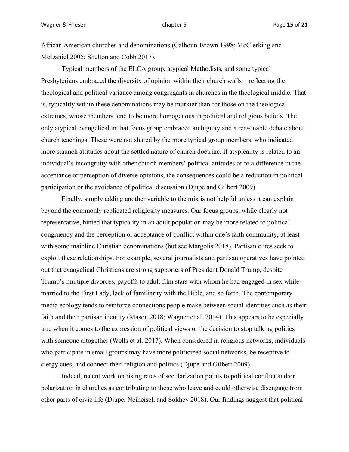African American churches and denominations (Calhoun-Brown 1998; McClerking and McDaniel 2005; Shelton and Cobb 2017).

Typical members of the ELCA group, atypical Methodists, and some typical Presbyterians embraced the diversity of opinion within their church walls—reflecting the theological and political variance among congregants in churches in the theological middle. That is, typicality within these denominations may be murkier than for those on the theological extremes, whose members tend to be more homogenous in political and religious beliefs. The only atypical evangelical in that focus group embraced ambiguity and a reasonable debate about church teachings. These were not shared by the more typical group members, who indicated more staunch attitudes about the settled nature of church doctrine. If atypicality is related to an individual's incongruity with other church members' political attitudes or to a difference in the acceptance or perception of diverse opinions, the consequences could be a reduction in political participation or the avoidance of political discussion (Djupe and Gilbert 2009).

Finally, simply adding another variable to the mix is not helpful unless it can explain beyond the commonly replicated religiosity measures. Our focus groups, while clearly not representative, hinted that typicality in an adult population may be more related to political congruency and the perception or acceptance of conflict within one's faith community, at least with some mainline Christian denominations (but see Margolis 2018). Partisan elites seek to exploit these relationships. For example, several journalists and partisan operatives have pointed out that evangelical Christians are strong supporters of President Donald Trump, despite Trump's multiple divorces, payoffs to adult film stars with whom he had engaged in sex while married to the First Lady, lack of familiarity with the Bible, and so forth. The contemporary media ecology tends to reinforce connections people make between social identities such as their faith and their partisan identity (Mason 2018; Wagner et al. 2014). This appears to be especially true when it comes to the expression of political views or the decision to stop talking politics with someone altogether (Wells et al. 2017). When considered in religious networks, individuals who participate in small groups may have more politicized social networks, be receptive to clergy cues, and connect their religion and politics (Djupe and Gilbert 2009).

Indeed, recent work on rising rates of secularization points to political conflict and/or polarization in churches as contributing to those who leave and could otherwise disengage from other parts of civic life (Djupe, Neiheisel, and Sokhey 2018). Our findings suggest that political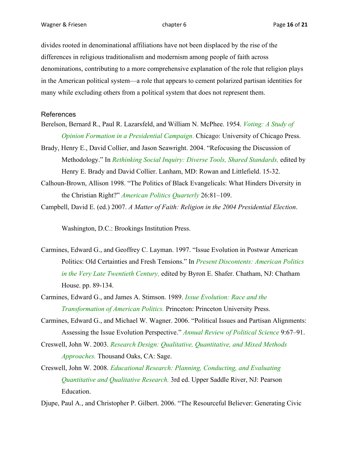divides rooted in denominational affiliations have not been displaced by the rise of the differences in religious traditionalism and modernism among people of faith across denominations, contributing to a more comprehensive explanation of the role that religion plays in the American political system—a role that appears to cement polarized partisan identities for many while excluding others from a political system that does not represent them.

#### References

- Berelson, Bernard R., Paul R. Lazarsfeld, and William N. McPhee. 1954. *Voting: A Study of Opinion Formation in a Presidential Campaign.* Chicago: University of Chicago Press.
- Brady, Henry E., David Collier, and Jason Seawright. 2004. "Refocusing the Discussion of Methodology." In *Rethinking Social Inquiry: Diverse Tools, Shared Standards,* edited by Henry E. Brady and David Collier. Lanham, MD: Rowan and Littlefield. 15-32.
- Calhoun-Brown, Allison 1998. "The Politics of Black Evangelicals: What Hinders Diversity in the Christian Right?" *American Politics Quarterly* 26:81–109.
- Campbell, David E. (ed.) 2007. *A Matter of Faith: Religion in the 2004 Presidential Election*.

Washington, D.C.: Brookings Institution Press.

- Carmines, Edward G., and Geoffrey C. Layman. 1997. "Issue Evolution in Postwar American Politics: Old Certainties and Fresh Tensions." In *Present Discontents: American Politics in the Very Late Twentieth Century,* edited by Byron E. Shafer. Chatham, NJ: Chatham House. pp. 89-134.
- Carmines, Edward G., and James A. Stimson. 1989. *Issue Evolution: Race and the Transformation of American Politics.* Princeton: Princeton University Press.
- Carmines, Edward G., and Michael W. Wagner. 2006. "Political Issues and Partisan Alignments: Assessing the Issue Evolution Perspective." *Annual Review of Political Science* 9:67–91.
- Creswell, John W. 2003. *Research Design: Qualitative, Quantitative, and Mixed Methods Approaches.* Thousand Oaks, CA: Sage.
- Creswell, John W. 2008. *Educational Research: Planning, Conducting, and Evaluating Quantitative and Qualitative Research.* 3rd ed. Upper Saddle River, NJ: Pearson Education.
- Djupe, Paul A., and Christopher P. Gilbert. 2006. "The Resourceful Believer: Generating Civic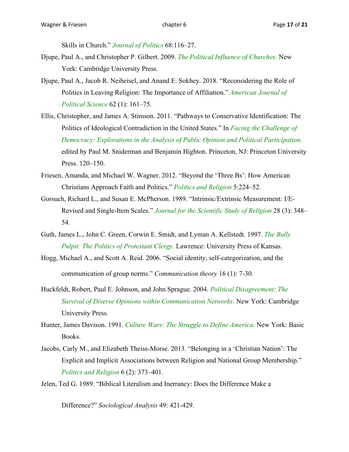Skills in Church." *Journal of Politics* 68:116–27.

- Djupe, Paul A., and Christopher P. Gilbert. 2009. *The Political Influence of Churches.* New York: Cambridge University Press.
- Djupe, Paul A., Jacob R. Neiheisel, and Anand E. Sokhey. 2018. "Reconsidering the Role of Politics in Leaving Religion: The Importance of Affiliation." *American Journal of Political Science* 62 (1): 161–75.
- Ellis, Christopher, and James A. Stimson. 2011. "Pathways to Conservative Identification: The Politics of Ideological Contradiction in the United States." In *Facing the Challenge of Democracy: Explorations in the Analysis of Public Opinion and Political Participation,* edited by Paul M. Sniderman and Benjamin Highton. Princeton, NJ: Princeton University Press. 120–150.
- Friesen, Amanda, and Michael W. Wagner. 2012. "Beyond the 'Three Bs': How American Christians Approach Faith and Politics." *Politics and Religion* 5:224–52.
- Gorsuch, Richard L., and Susan E. McPherson. 1989. "Intrinsic/Extrinsic Measurement: I/E-Revised and Single-Item Scales." *Journal for the Scientific Study of Religion* 28 (3): 348– 54.
- Guth, James L., John C. Green, Corwin E. Smidt, and Lyman A. Kellstedt. 1997. *The Bully Pulpit: The Politics of Protestant Clergy.* Lawrence: University Press of Kansas.
- Hogg, Michael A., and Scott A. Reid. 2006. "Social identity, self-categorization, and the communication of group norms." *Communication theory* 16 (1): 7-30.
- Huckfeldt, Robert, Paul E. Johnson, and John Sprague. 2004. *Political Disagreement: The Survival of Diverse Opinions within Communication Networks.* New York: Cambridge University Press.
- Hunter, James Davison. 1991. *Culture Wars: The Struggle to Define America.* New York: Basic Books.
- Jacobs, Carly M., and Elizabeth Theiss-Morse. 2013. "Belonging in a 'Christian Nation': The Explicit and Implicit Associations between Religion and National Group Membership." *Politics and Religion* 6 (2): 373–401.
- Jelen, Ted G. 1989. "Biblical Literalism and Inerrancy: Does the Difference Make a

Difference?" *Sociological Analysis* 49: 421-429.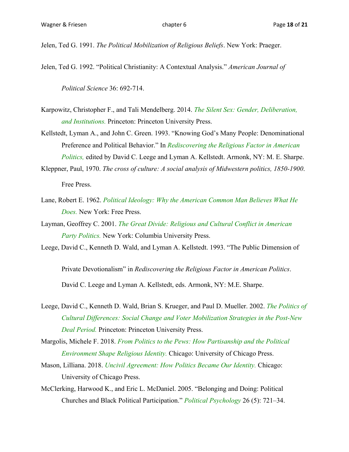Jelen, Ted G. 1991. *The Political Mobilization of Religious Beliefs*. New York: Praeger.

Jelen, Ted G. 1992. "Political Christianity: A Contextual Analysis." *American Journal of* 

*Political Science* 36: 692-714.

- Karpowitz, Christopher F., and Tali Mendelberg. 2014. *The Silent Sex: Gender, Deliberation, and Institutions.* Princeton: Princeton University Press.
- Kellstedt, Lyman A., and John C. Green. 1993. "Knowing God's Many People: Denominational Preference and Political Behavior." In *Rediscovering the Religious Factor in American Politics,* edited by David C. Leege and Lyman A. Kellstedt. Armonk, NY: M. E. Sharpe.
- Kleppner, Paul, 1970. *The cross of culture: A social analysis of Midwestern politics, 1850-1900*. Free Press.
- Lane, Robert E. 1962. *Political Ideology: Why the American Common Man Believes What He Does.* New York: Free Press.
- Layman, Geoffrey C. 2001. *The Great Divide: Religious and Cultural Conflict in American Party Politics.* New York: Columbia University Press.

Leege, David C., Kenneth D. Wald, and Lyman A. Kellstedt. 1993. "The Public Dimension of

Private Devotionalism" in *Rediscovering the Religious Factor in American Politics*. David C. Leege and Lyman A. Kellstedt, eds. Armonk, NY: M.E. Sharpe.

- Leege, David C., Kenneth D. Wald, Brian S. Krueger, and Paul D. Mueller. 2002. *The Politics of Cultural Differences: Social Change and Voter Mobilization Strategies in the Post-New Deal Period.* Princeton: Princeton University Press.
- Margolis, Michele F. 2018. *From Politics to the Pews: How Partisanship and the Political Environment Shape Religious Identity.* Chicago: University of Chicago Press.
- Mason, Lilliana. 2018. *Uncivil Agreement: How Politics Became Our Identity.* Chicago: University of Chicago Press.
- McClerking, Harwood K., and Eric L. McDaniel. 2005. "Belonging and Doing: Political Churches and Black Political Participation." *Political Psychology* 26 (5): 721–34.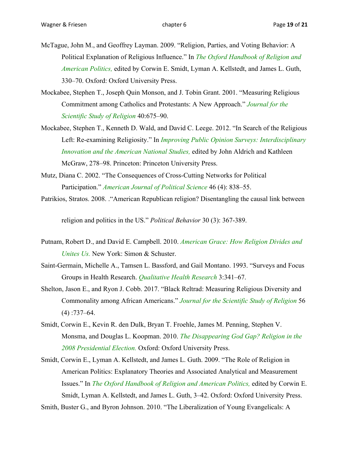- McTague, John M., and Geoffrey Layman. 2009. "Religion, Parties, and Voting Behavior: A Political Explanation of Religious Influence." In *The Oxford Handbook of Religion and American Politics,* edited by Corwin E. Smidt, Lyman A. Kellstedt, and James L. Guth, 330–70. Oxford: Oxford University Press.
- Mockabee, Stephen T., Joseph Quin Monson, and J. Tobin Grant. 2001. "Measuring Religious Commitment among Catholics and Protestants: A New Approach." *Journal for the Scientific Study of Religion* 40:675–90.
- Mockabee, Stephen T., Kenneth D. Wald, and David C. Leege. 2012. "In Search of the Religious Left: Re-examining Religiosity." In *Improving Public Opinion Surveys: Interdisciplinary Innovation and the American National Studies,* edited by John Aldrich and Kathleen McGraw, 278–98. Princeton: Princeton University Press.
- Mutz, Diana C. 2002. "The Consequences of Cross-Cutting Networks for Political Participation." *American Journal of Political Science* 46 (4): 838–55.
- Patrikios, Stratos. 2008. ."American Republican religion? Disentangling the causal link between

religion and politics in the US." *Political Behavior* 30 (3): 367-389.

- Putnam, Robert D., and David E. Campbell. 2010. *American Grace: How Religion Divides and Unites Us.* New York: Simon & Schuster.
- Saint-Germain, Michelle A., Tamsen L. Bassford, and Gail Montano. 1993. "Surveys and Focus Groups in Health Research. *Qualitative Health Research* 3:341–67.
- Shelton, Jason E., and Ryon J. Cobb. 2017. "Black Reltrad: Measuring Religious Diversity and Commonality among African Americans." *Journal for the Scientific Study of Religion* 56  $(4)$ :737–64.
- Smidt, Corwin E., Kevin R. den Dulk, Bryan T. Froehle, James M. Penning, Stephen V. Monsma, and Douglas L. Koopman. 2010. *The Disappearing God Gap? Religion in the 2008 Presidential Election.* Oxford: Oxford University Press.
- Smidt, Corwin E., Lyman A. Kellstedt, and James L. Guth. 2009. "The Role of Religion in American Politics: Explanatory Theories and Associated Analytical and Measurement Issues." In *The Oxford Handbook of Religion and American Politics,* edited by Corwin E. Smidt, Lyman A. Kellstedt, and James L. Guth, 3–42. Oxford: Oxford University Press.

Smith, Buster G., and Byron Johnson. 2010. "The Liberalization of Young Evangelicals: A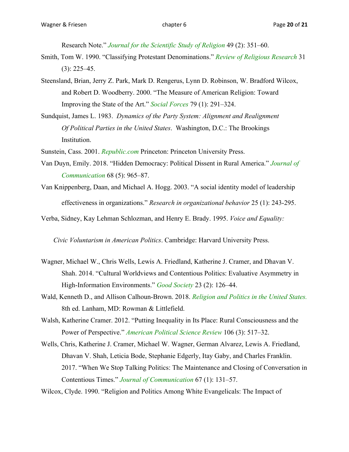Research Note." *Journal for the Scientific Study of Religion* 49 (2): 351–60.

- Smith, Tom W. 1990. "Classifying Protestant Denominations." *Review of Religious Research* 31  $(3): 225 - 45.$
- Steensland, Brian, Jerry Z. Park, Mark D. Rengerus, Lynn D. Robinson, W. Bradford Wilcox, and Robert D. Woodberry. 2000. "The Measure of American Religion: Toward Improving the State of the Art." *Social Forces* 79 (1): 291–324.
- Sundquist, James L. 1983. *Dynamics of the Party System: Alignment and Realignment Of Political Parties in the United States*. Washington, D.C.: The Brookings Institution.
- Sunstein, Cass. 2001. *Republic.com* Princeton: Princeton University Press.
- Van Duyn, Emily. 2018. "Hidden Democracy: Political Dissent in Rural America." *Journal of Communication* 68 (5): 965–87.
- Van Knippenberg, Daan, and Michael A. Hogg. 2003. "A social identity model of leadership effectiveness in organizations." *Research in organizational behavior* 25 (1): 243-295.

Verba, Sidney, Kay Lehman Schlozman, and Henry E. Brady. 1995. *Voice and Equality:* 

*Civic Voluntarism in American Politics*. Cambridge: Harvard University Press.

- Wagner, Michael W., Chris Wells, Lewis A. Friedland, Katherine J. Cramer, and Dhavan V. Shah. 2014. "Cultural Worldviews and Contentious Politics: Evaluative Asymmetry in High-Information Environments." *Good Society* 23 (2): 126–44.
- Wald, Kenneth D., and Allison Calhoun-Brown. 2018. *Religion and Politics in the United States.* 8th ed. Lanham, MD: Rowman & Littlefield.
- Walsh, Katherine Cramer. 2012. "Putting Inequality in Its Place: Rural Consciousness and the Power of Perspective." *American Political Science Review* 106 (3): 517–32.
- Wells, Chris, Katherine J. Cramer, Michael W. Wagner, German Alvarez, Lewis A. Friedland, Dhavan V. Shah, Leticia Bode, Stephanie Edgerly, Itay Gaby, and Charles Franklin. 2017. "When We Stop Talking Politics: The Maintenance and Closing of Conversation in Contentious Times." *Journal of Communication* 67 (1): 131–57.

Wilcox, Clyde. 1990. "Religion and Politics Among White Evangelicals: The Impact of